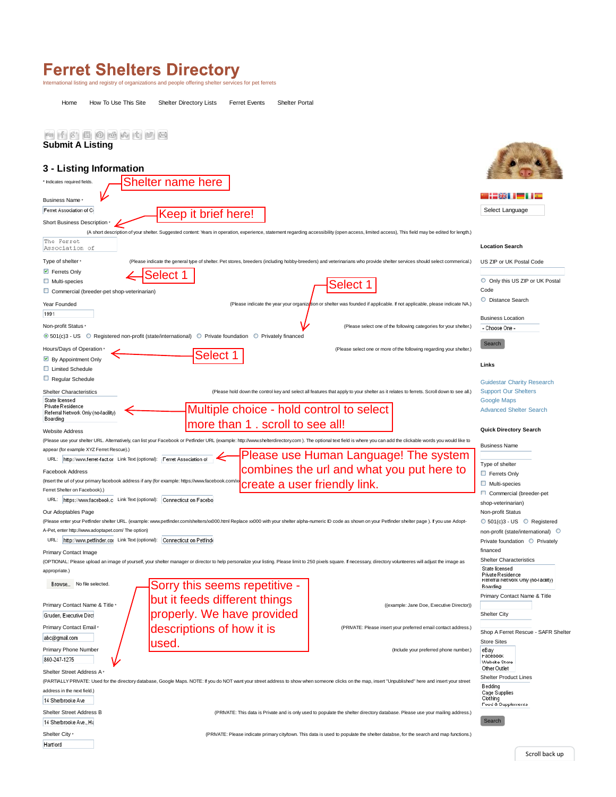## Ferret Shelters Directory<br>International listing and registry of organizations and people offering shelter services for pet ferrets

Home How To Use This Site Shelter Directory Lists Ferret Events Shelter Portal

| <b>* 13 00000000</b>                                                       |                                                                                                                                                                                                                     |                                                                                                                                         |                                                          |
|----------------------------------------------------------------------------|---------------------------------------------------------------------------------------------------------------------------------------------------------------------------------------------------------------------|-----------------------------------------------------------------------------------------------------------------------------------------|----------------------------------------------------------|
| <b>Submit A Listing</b>                                                    |                                                                                                                                                                                                                     |                                                                                                                                         |                                                          |
|                                                                            |                                                                                                                                                                                                                     |                                                                                                                                         |                                                          |
| 3 - Listing Information                                                    |                                                                                                                                                                                                                     |                                                                                                                                         |                                                          |
| Indicates required fields                                                  | <b>Shelter name here</b>                                                                                                                                                                                            |                                                                                                                                         |                                                          |
| Business Name *                                                            |                                                                                                                                                                                                                     |                                                                                                                                         |                                                          |
| Ferret Association of C                                                    | Keep it brief here!                                                                                                                                                                                                 |                                                                                                                                         | Select Language                                          |
| Short Business Description *                                               |                                                                                                                                                                                                                     |                                                                                                                                         |                                                          |
|                                                                            | (A short description of your shelter. Suggested content: Years in operation, experience, statement regarding accessibility (open access, limited access), This field may be edited for length.)                     |                                                                                                                                         |                                                          |
| The Ferret<br>Association of                                               |                                                                                                                                                                                                                     |                                                                                                                                         | <b>Location Search</b>                                   |
| Type of shelter *                                                          | (Please indicate the general type of shelter. Pet stores, breeders (including hobby-breeders) and veterinarians who provide shelter services should select commerical.)                                             |                                                                                                                                         | US ZIP or UK Postal Code                                 |
| Ferrets Only                                                               | elect                                                                                                                                                                                                               |                                                                                                                                         |                                                          |
| $\Box$ Multi-species                                                       |                                                                                                                                                                                                                     | <b>Select</b>                                                                                                                           | O Only this US ZIP or UK Postal                          |
| Commercial (breeder-pet shop-veterinarian)                                 |                                                                                                                                                                                                                     |                                                                                                                                         | Code                                                     |
| Year Founded                                                               |                                                                                                                                                                                                                     | (Please indicate the year your organization or shelter was founded if applicable. If not applicable, please indicate NA.)               | O Distance Search                                        |
| 1991                                                                       |                                                                                                                                                                                                                     |                                                                                                                                         |                                                          |
| Non-profit Status ·                                                        |                                                                                                                                                                                                                     | (Please select one of the following categories for your shelter.)                                                                       | <b>Business Location</b><br>- Choose One                 |
|                                                                            | ● 501(c)3 - US C Registered non-profit (state/international) C Private foundation<br><b>O</b> Privately financed                                                                                                    |                                                                                                                                         |                                                          |
|                                                                            |                                                                                                                                                                                                                     |                                                                                                                                         | Search                                                   |
| Hours/Days of Operation                                                    | <b>Select</b>                                                                                                                                                                                                       | (Please select one or more of the following regarding your shelter.)                                                                    |                                                          |
| By Appointment Only<br>□ Limited Schedule                                  |                                                                                                                                                                                                                     |                                                                                                                                         | Links                                                    |
| Regular Schedule                                                           |                                                                                                                                                                                                                     |                                                                                                                                         |                                                          |
|                                                                            |                                                                                                                                                                                                                     |                                                                                                                                         | <b>Guidestar Charity Research</b>                        |
| <b>Shelter Characteristics</b><br>State licensed                           |                                                                                                                                                                                                                     | (Please hold down the control key and select all features that apply to your shelter as it relates to ferrets. Scroll down to see all.) | <b>Support Our Shelters</b>                              |
| Private Residence                                                          |                                                                                                                                                                                                                     |                                                                                                                                         | <b>Google Maps</b><br><b>Advanced Shelter Search</b>     |
| Referral Network Only (no-facility)<br>Boarding                            | Multiple choice - hold control to select                                                                                                                                                                            |                                                                                                                                         |                                                          |
|                                                                            | more than 1. scroll to see all!                                                                                                                                                                                     |                                                                                                                                         | <b>Quick Directory Search</b>                            |
| Website Address                                                            |                                                                                                                                                                                                                     |                                                                                                                                         |                                                          |
| appear (for example XYZ Ferret Rescue).)                                   | (Please use your shelter URL. Alternatively, can list your Facebook or Petfinder URL (example: http://www.shelterdirectory.com). The optional text field is where you can add the clickable words you would like to |                                                                                                                                         | <b>Business Name</b>                                     |
| URL: http://www.ferret-fact.or Link Text (optional): Ferret Association of |                                                                                                                                                                                                                     | Please use Human Language! The system                                                                                                   |                                                          |
| combines the url and what you put here to                                  |                                                                                                                                                                                                                     |                                                                                                                                         | Type of shelter                                          |
| Facebook Address                                                           | (Insert the url of your primary facebook address if any (for example: https://www.facebook.com/xx                                                                                                                   |                                                                                                                                         | Ferrets Only                                             |
| Ferret Shelter on Facebook).)                                              |                                                                                                                                                                                                                     | create a user friendly link.                                                                                                            | $\Box$ Multi-species                                     |
| URL: https://www.facebook.c Link Text (optional):                          | Connecticut on Facebo                                                                                                                                                                                               |                                                                                                                                         | Commercial (breeder-pet                                  |
|                                                                            |                                                                                                                                                                                                                     |                                                                                                                                         | shop-veterinarian)                                       |
| Our Adoptables Page                                                        |                                                                                                                                                                                                                     |                                                                                                                                         | Non-profit Status                                        |
| A-Pet, enter http://www.adoptapet.com/ The option)                         | (Please enter your Petfinder shelter URL. (example: www.petfinder.com/shelters/xx000.html Replace xx000 with your shelter alpha-numeric ID code as shown on your Petfinder shelter page). If you use Adopt-         |                                                                                                                                         | O 501(c)3 - US O Registered                              |
| URL: http://www.petfinder.cor Link Text (optional):                        | Connecticut on Petfinde                                                                                                                                                                                             |                                                                                                                                         | non-profit (state/international)                         |
|                                                                            |                                                                                                                                                                                                                     |                                                                                                                                         | Private foundation Privately<br>financed                 |
| Primary Contact Image                                                      |                                                                                                                                                                                                                     |                                                                                                                                         | <b>Shelter Characteristics</b>                           |
|                                                                            | (OPTIONAL: Please upload an image of yourself, your shelter manager or director to help personalize your listing. Please limit to 250 pixels square. If necessary, directory volunteeres will adjust the image as   |                                                                                                                                         | State licensed                                           |
| appropriate.)                                                              |                                                                                                                                                                                                                     |                                                                                                                                         | Private Residence<br>Referral Network Only (no-facility) |
| Browse No file selected.                                                   | Sorry this seems repetitive -                                                                                                                                                                                       |                                                                                                                                         | Boarding                                                 |
|                                                                            | but it feeds different things                                                                                                                                                                                       |                                                                                                                                         | Primary Contact Name & Title                             |
| Primary Contact Name & Title                                               |                                                                                                                                                                                                                     | ((example: Jane Doe, Executive Director))                                                                                               |                                                          |
| Gruden, Executive Dirch                                                    | properly. We have provided                                                                                                                                                                                          |                                                                                                                                         | Shelter City                                             |
| Primary Contact Email *                                                    | descriptions of how it is                                                                                                                                                                                           | (PRIVATE: Please insert your preferred email contact address.)                                                                          |                                                          |
| abc@gmail.com                                                              |                                                                                                                                                                                                                     |                                                                                                                                         | Shop A Ferret Rescue - SAFR Shelter                      |
| <b>Primary Phone Number</b>                                                | used.                                                                                                                                                                                                               | (Include your preferred phone number.)                                                                                                  | <b>Store Sites</b><br>eBay                               |
| 860-247-1275                                                               |                                                                                                                                                                                                                     |                                                                                                                                         | Facebook<br>Website Store                                |
| Shelter Street Address A                                                   |                                                                                                                                                                                                                     |                                                                                                                                         | Other Outlet                                             |
|                                                                            | (PARTIALLY PRIVATE: Used for the directory database, Google Maps. NOTE: If you do NOT want your street address to show when someone clicks on the map, insert "Unpublished" here and insert your street             |                                                                                                                                         | <b>Shelter Product Lines</b>                             |
| address in the next field.)                                                | <b>Bedding</b><br>Cage Supplies                                                                                                                                                                                     |                                                                                                                                         |                                                          |
| 14 Sherbrooke Ave                                                          |                                                                                                                                                                                                                     |                                                                                                                                         | Clothing<br>Food & Supplements                           |
| Shelter Street Address B                                                   |                                                                                                                                                                                                                     | (PRIVATE: This data is Private and is only used to populate the shelter directory database. Please use your mailing address.)           |                                                          |
| 14 Sherbrooke Ave., Ha                                                     |                                                                                                                                                                                                                     |                                                                                                                                         | Search                                                   |
| Shelter City *                                                             |                                                                                                                                                                                                                     |                                                                                                                                         |                                                          |
|                                                                            |                                                                                                                                                                                                                     | (PRIVATE: Please indicate primary city/town. This data is used to populate the shelter databse, for the search and map functions.)      |                                                          |